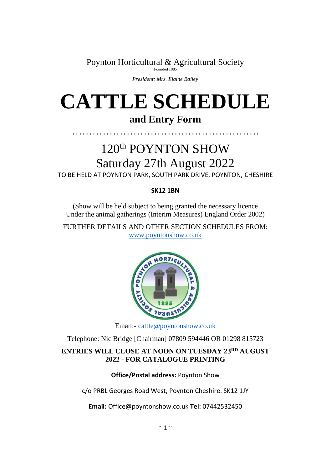Poynton Horticultural & Agricultural Society

*President: Mrs. Elaine Bailey*

# **CATTLE SCHEDULE and Entry Form**

# 120th POYNTON SHOW Saturday 27th August 2022

……………………………………………….

TO BE HELD AT POYNTON PARK, SOUTH PARK DRIVE, POYNTON, CHESHIRE

#### **SK12 1BN**

(Show will be held subject to being granted the necessary licence Under the animal gatherings (Interim Measures) England Order 2002)

FURTHER DETAILS AND OTHER SECTION SCHEDULES FROM: [www.poyntonshow.co.uk](http://www.poyntonshow.co.uk/)



Email:- [cattle@poyntonshow.co.uk](mailto:cattle@poyntonshow.co.uk)

Telephone: Nic Bridge [Chairman] 07809 594446 OR 01298 815723

#### **ENTRIES WILL CLOSE AT NOON ON TUESDAY 23RD AUGUST 2022 - FOR CATALOGUE PRINTING**

#### **Office/Postal address:** Poynton Show

c/o PRBL Georges Road West, Poynton Cheshire. SK12 1JY

**Email:** Office@poyntonshow.co.uk **Tel:** 07442532450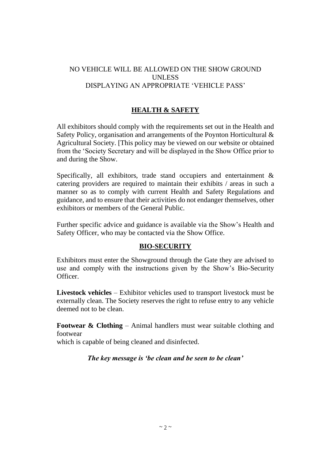#### NO VEHICLE WILL BE ALLOWED ON THE SHOW GROUND UNLESS DISPLAYING AN APPROPRIATE 'VEHICLE PASS'

#### **HEALTH & SAFETY**

All exhibitors should comply with the requirements set out in the Health and Safety Policy, organisation and arrangements of the Poynton Horticultural & Agricultural Society. [This policy may be viewed on our website or obtained from the 'Society Secretary and will be displayed in the Show Office prior to and during the Show.

Specifically, all exhibitors, trade stand occupiers and entertainment & catering providers are required to maintain their exhibits / areas in such a manner so as to comply with current Health and Safety Regulations and guidance, and to ensure that their activities do not endanger themselves, other exhibitors or members of the General Public.

Further specific advice and guidance is available via the Show's Health and Safety Officer, who may be contacted via the Show Office.

#### **BIO-SECURITY**

Exhibitors must enter the Showground through the Gate they are advised to use and comply with the instructions given by the Show's Bio-Security Officer.

**Livestock vehicles** – Exhibitor vehicles used to transport livestock must be externally clean. The Society reserves the right to refuse entry to any vehicle deemed not to be clean.

**Footwear & Clothing – Animal handlers must wear suitable clothing and** footwear

which is capable of being cleaned and disinfected.

*The key message is 'be clean and be seen to be clean'*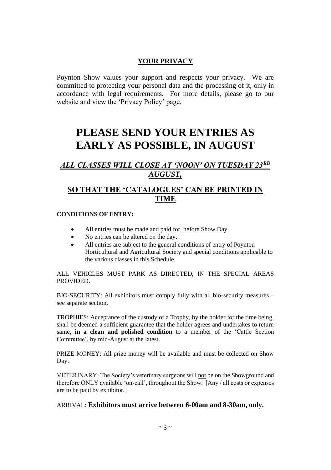#### **YOUR PRIVACY**

Poynton Show values your support and respects your privacy. We are committed to protecting your personal data and the processing of it, only in accordance with legal requirements. For more details, please go to our website and view the 'Privacy Policy' page.

# **PLEASE SEND YOUR ENTRIES AS EARLY AS POSSIBLE, IN AUGUST**

### *ALL CLASSES WILL CLOSE AT 'NOON' ON TUESDAY 23RD AUGUST,*

### **SO THAT THE 'CATALOGUES' CAN BE PRINTED IN TIME**

#### **CONDITIONS OF ENTRY:**

- All entries must be made and paid for, before Show Day.
- No entries can be altered on the day.
- All entries are subject to the general conditions of entry of Poynton Horticultural and Agricultural Society and special conditions applicable to the various classes in this Schedule.

ALL VEHICLES MUST PARK AS DIRECTED, IN THE SPECIAL AREAS PROVIDED.

BIO-SECURITY: All exhibitors must comply fully with all bio-security measures – see separate section.

TROPHIES: Acceptance of the custody of a Trophy, by the holder for the time being, shall be deemed a sufficient guarantee that the holder agrees and undertakes to return same, **in a clean and polished condition** to a member of the 'Cattle Section Committee', by mid-August at the latest.

PRIZE MONEY: All prize money will be available and must be collected on Show Day.

VETERINARY: The Society's veterinary surgeons will not be on the Showground and therefore ONLY available 'on-call', throughout the Show. [Any / all costs or expenses are to be paid by exhibitor.]

#### ARRIVAL: **Exhibitors must arrive between 6-00am and 8-30am, only.**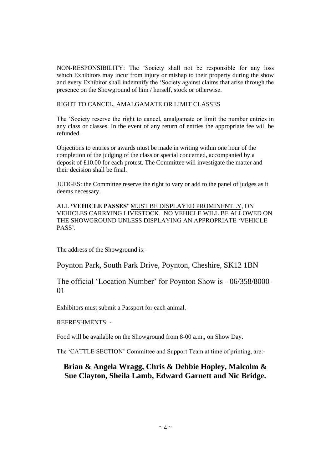NON-RESPONSIBILITY: The 'Society shall not be responsible for any loss which Exhibitors may incur from injury or mishap to their property during the show and every Exhibitor shall indemnify the 'Society against claims that arise through the presence on the Showground of him / herself, stock or otherwise.

#### RIGHT TO CANCEL, AMALGAMATE OR LIMIT CLASSES

The 'Society reserve the right to cancel, amalgamate or limit the number entries in any class or classes. In the event of any return of entries the appropriate fee will be refunded.

Objections to entries or awards must be made in writing within one hour of the completion of the judging of the class or special concerned, accompanied by a deposit of £10.00 for each protest. The Committee will investigate the matter and their decision shall be final.

JUDGES: the Committee reserve the right to vary or add to the panel of judges as it deems necessary.

ALL **'VEHICLE PASSES'** MUST BE DISPLAYED PROMINENTLY, ON VEHICLES CARRYING LIVESTOCK. NO VEHICLE WILL BE ALLOWED ON THE SHOWGROUND UNLESS DISPLAYING AN APPROPRIATE 'VEHICLE PASS'.

The address of the Showground is:-

Poynton Park, South Park Drive, Poynton, Cheshire, SK12 1BN

The official 'Location Number' for Poynton Show is - 06/358/8000- 01

Exhibitors must submit a Passport for each animal.

REFRESHMENTS: -

Food will be available on the Showground from 8-00 a.m., on Show Day.

The 'CATTLE SECTION' Committee and Support Team at time of printing, are:-

#### **Brian & Angela Wragg, Chris & Debbie Hopley, Malcolm & Sue Clayton, Sheila Lamb, Edward Garnett and Nic Bridge.**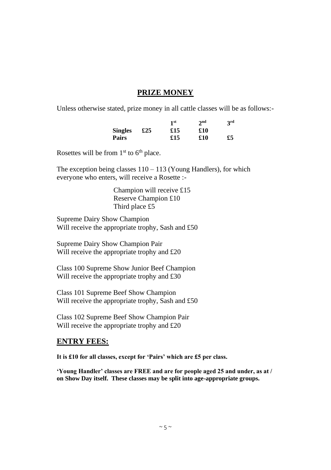#### **PRIZE MONEY**

Unless otherwise stated, prize money in all cattle classes will be as follows:-

|                |     | 1 <sup>st</sup> | 2 <sub>nd</sub> | 3rd |
|----------------|-----|-----------------|-----------------|-----|
| <b>Singles</b> | £25 | £15             | £10             |     |
| Pairs          |     | £15             | £10             | £5  |

Rosettes will be from  $1<sup>st</sup>$  to  $6<sup>th</sup>$  place.

The exception being classes 110 – 113 (Young Handlers), for which everyone who enters, will receive a Rosette :-

> Champion will receive £15 Reserve Champion £10 Third place £5

Supreme Dairy Show Champion Will receive the appropriate trophy, Sash and £50

Supreme Dairy Show Champion Pair Will receive the appropriate trophy and £20

Class 100 Supreme Show Junior Beef Champion Will receive the appropriate trophy and £30

Class 101 Supreme Beef Show Champion Will receive the appropriate trophy, Sash and £50

Class 102 Supreme Beef Show Champion Pair Will receive the appropriate trophy and £20

#### **ENTRY FEES:**

**It is £10 for all classes, except for 'Pairs' which are £5 per class.** 

**'Young Handler' classes are FREE and are for people aged 25 and under, as at / on Show Day itself. These classes may be split into age-appropriate groups.**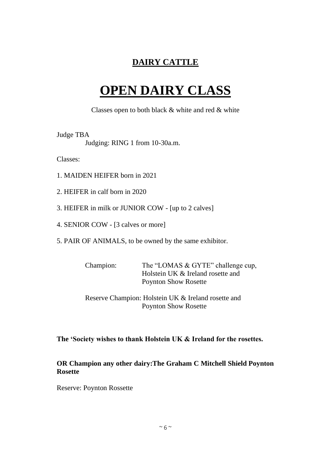# **DAIRY CATTLE**

# **OPEN DAIRY CLASS**

Classes open to both black & white and red & white

#### Judge TBA

Judging: RING 1 from 10-30a.m.

Classes:

- 1. MAIDEN HEIFER born in 2021
- 2. HEIFER in calf born in 2020
- 3. HEIFER in milk or JUNIOR COW [up to 2 calves]
- 4. SENIOR COW [3 calves or more]
- 5. PAIR OF ANIMALS, to be owned by the same exhibitor.

| Champion: | The "LOMAS & GYTE" challenge cup, |
|-----------|-----------------------------------|
|           | Holstein UK & Ireland rosette and |
|           | <b>Poynton Show Rosette</b>       |

Reserve Champion: Holstein UK & Ireland rosette and Poynton Show Rosette

#### **The 'Society wishes to thank Holstein UK & Ireland for the rosettes.**

#### **OR Champion any other dairy:The Graham C Mitchell Shield Poynton Rosette**

Reserve: Poynton Rossette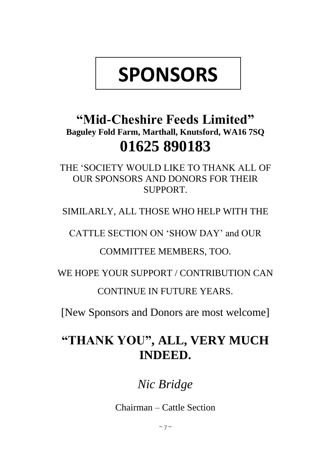# **SPONSORS**

# **"Mid-Cheshire Feeds Limited" Baguley Fold Farm, Marthall, Knutsford, WA16 7SQ 01625 890183**

THE 'SOCIETY WOULD LIKE TO THANK ALL OF OUR SPONSORS AND DONORS FOR THEIR SUPPORT.

SIMILARLY, ALL THOSE WHO HELP WITH THE

CATTLE SECTION ON 'SHOW DAY' and OUR

COMMITTEE MEMBERS, TOO.

WE HOPE YOUR SUPPORT / CONTRIBUTION CAN

CONTINUE IN FUTURE YEARS.

[New Sponsors and Donors are most welcome]

# **"THANK YOU", ALL, VERY MUCH INDEED.**

*Nic Bridge*

Chairman – Cattle Section

 $\sim$  7  $\sim$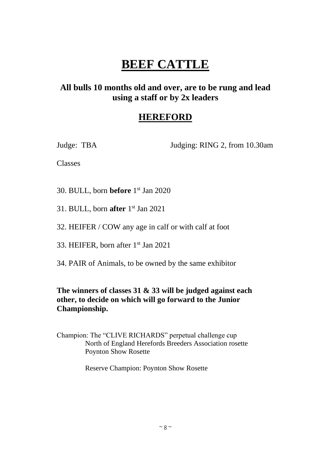# **BEEF CATTLE**

# **All bulls 10 months old and over, are to be rung and lead using a staff or by 2x leaders**

# **HEREFORD**

Judge: TBA Judging: RING 2, from 10.30am

Classes

30. BULL, born **before** 1 st Jan 2020

31. BULL, born **after** 1 st Jan 2021

32. HEIFER / COW any age in calf or with calf at foot

33. HEIFER, born after 1st Jan 2021

34. PAIR of Animals, to be owned by the same exhibitor

### **The winners of classes 31 & 33 will be judged against each other, to decide on which will go forward to the Junior Championship.**

Champion: The "CLIVE RICHARDS" perpetual challenge cup North of England Herefords Breeders Association rosette Poynton Show Rosette

Reserve Champion: Poynton Show Rosette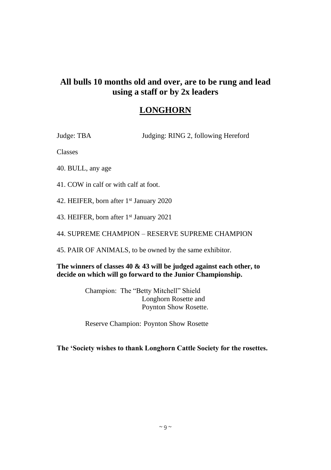### **LONGHORN**

Judge: TBA Judging: RING 2, following Hereford

Classes

40. BULL, any age

41. COW in calf or with calf at foot.

42. HEIFER, born after 1<sup>st</sup> January 2020

43. HEIFER, born after 1<sup>st</sup> January 2021

44. SUPREME CHAMPION – RESERVE SUPREME CHAMPION

45. PAIR OF ANIMALS, to be owned by the same exhibitor.

**The winners of classes 40 & 43 will be judged against each other, to decide on which will go forward to the Junior Championship.** 

> Champion: The "Betty Mitchell" Shield Longhorn Rosette and Poynton Show Rosette.

> Reserve Champion: Poynton Show Rosette

**The 'Society wishes to thank Longhorn Cattle Society for the rosettes.**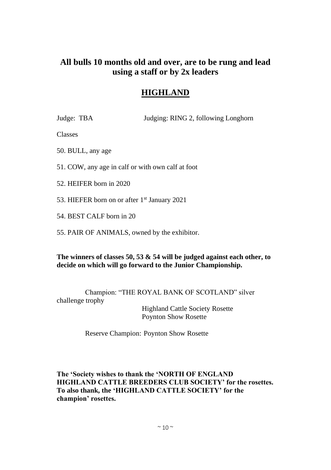# **HIGHLAND**

Judge: TBA Judging: RING 2, following Longhorn

Classes

50. BULL, any age

51. COW, any age in calf or with own calf at foot

52. HEIFER born in 2020

53. HIEFER born on or after 1<sup>st</sup> January 2021

54. BEST CALF born in 20

55. PAIR OF ANIMALS, owned by the exhibitor.

**The winners of classes 50, 53 & 54 will be judged against each other, to decide on which will go forward to the Junior Championship.** 

Champion: "THE ROYAL BANK OF SCOTLAND" silver challenge trophy

> Highland Cattle Society Rosette Poynton Show Rosette

Reserve Champion: Poynton Show Rosette

**The 'Society wishes to thank the 'NORTH OF ENGLAND HIGHLAND CATTLE BREEDERS CLUB SOCIETY' for the rosettes. To also thank, the 'HIGHLAND CATTLE SOCIETY' for the champion' rosettes.**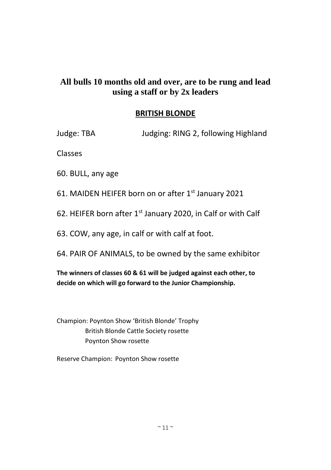### **BRITISH BLONDE**

Judge: TBA Judging: RING 2, following Highland

Classes

60. BULL, any age

61. MAIDEN HEIFER born on or after 1st January 2021

62. HEIFER born after 1<sup>st</sup> January 2020, in Calf or with Calf

63. COW, any age, in calf or with calf at foot.

64. PAIR OF ANIMALS, to be owned by the same exhibitor

**The winners of classes 60 & 61 will be judged against each other, to decide on which will go forward to the Junior Championship.** 

Champion: Poynton Show 'British Blonde' Trophy British Blonde Cattle Society rosette Poynton Show rosette

Reserve Champion: Poynton Show rosette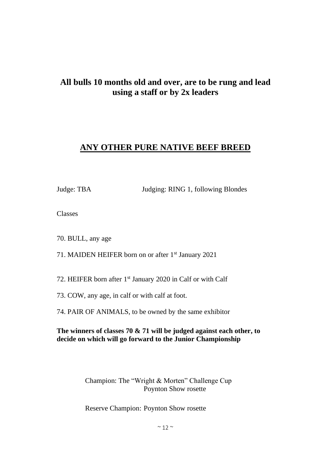# **ANY OTHER PURE NATIVE BEEF BREED**

Judge: TBA Judging: RING 1, following Blondes

Classes

70. BULL, any age

71. MAIDEN HEIFER born on or after 1<sup>st</sup> January 2021

72. HEIFER born after 1<sup>st</sup> January 2020 in Calf or with Calf

73. COW, any age, in calf or with calf at foot.

74. PAIR OF ANIMALS, to be owned by the same exhibitor

**The winners of classes 70 & 71 will be judged against each other, to decide on which will go forward to the Junior Championship**

> Champion: The "Wright & Morten" Challenge Cup Poynton Show rosette

Reserve Champion: Poynton Show rosette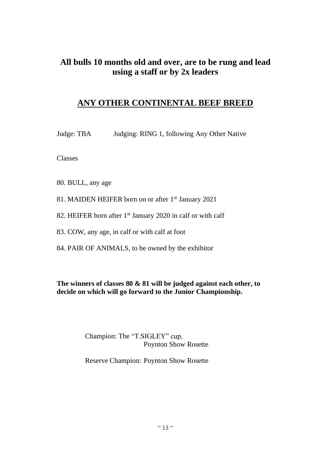# **ANY OTHER CONTINENTAL BEEF BREED**

Judge: TBA Judging: RING 1, following Any Other Native

Classes

80. BULL, any age

81. MAIDEN HEIFER born on or after 1<sup>st</sup> January 2021

82. HEIFER born after 1<sup>st</sup> January 2020 in calf or with calf

83. COW, any age, in calf or with calf at foot

84. PAIR OF ANIMALS, to be owned by the exhibitor

**The winners of classes 80 & 81 will be judged against each other, to decide on which will go forward to the Junior Championship.** 

> Champion: The "T.SIGLEY" cup, Poynton Show Rosette

> Reserve Champion: Poynton Show Rosette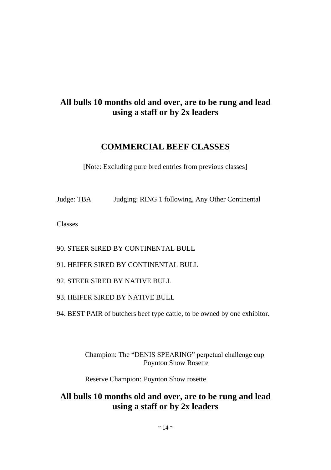# **COMMERCIAL BEEF CLASSES**

[Note: Excluding pure bred entries from previous classes]

Judge: TBA Judging: RING 1 following, Any Other Continental

Classes

90. STEER SIRED BY CONTINENTAL BULL

91. HEIFER SIRED BY CONTINENTAL BULL

92. STEER SIRED BY NATIVE BULL

93. HEIFER SIRED BY NATIVE BULL

94. BEST PAIR of butchers beef type cattle, to be owned by one exhibitor.

Champion: The "DENIS SPEARING" perpetual challenge cup Poynton Show Rosette

Reserve Champion: Poynton Show rosette

# **All bulls 10 months old and over, are to be rung and lead using a staff or by 2x leaders**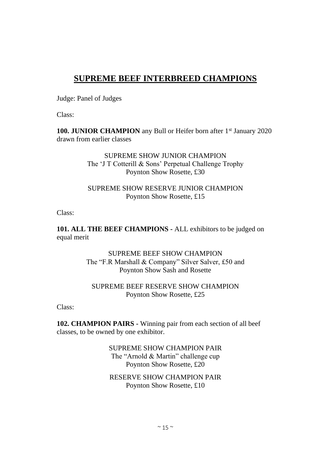# **SUPREME BEEF INTERBREED CHAMPIONS**

Judge: Panel of Judges

Class:

**100. JUNIOR CHAMPION** any Bull or Heifer born after 1<sup>st</sup> January 2020 drawn from earlier classes

> SUPREME SHOW JUNIOR CHAMPION The 'J T Cotterill & Sons' Perpetual Challenge Trophy Poynton Show Rosette, £30

#### SUPREME SHOW RESERVE JUNIOR CHAMPION Poynton Show Rosette, £15

Class:

**101. ALL THE BEEF CHAMPIONS -** ALL exhibitors to be judged on equal merit

> SUPREME BEEF SHOW CHAMPION The "F.R Marshall & Company" Silver Salver, £50 and Poynton Show Sash and Rosette

#### SUPREME BEEF RESERVE SHOW CHAMPION Poynton Show Rosette, £25

Class:

**102. CHAMPION PAIRS -** Winning pair from each section of all beef classes, to be owned by one exhibitor.

> SUPREME SHOW CHAMPION PAIR The "Arnold & Martin" challenge cup Poynton Show Rosette, £20

RESERVE SHOW CHAMPION PAIR Poynton Show Rosette, £10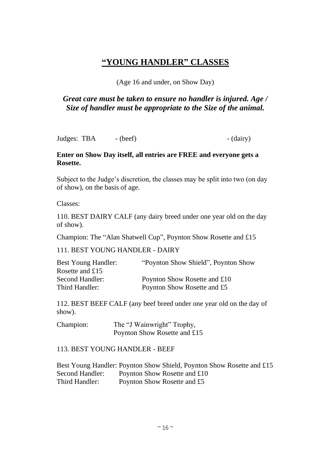# **"YOUNG HANDLER" CLASSES**

#### (Age 16 and under, on Show Day)

### *Great care must be taken to ensure no handler is injured. Age / Size of handler must be appropriate to the Size of the animal.*

Judges: TBA - (beef) - (dairy)

#### **Enter on Show Day itself, all entries are FREE and everyone gets a Rosette.**

Subject to the Judge's discretion, the classes may be split into two (on day of show), on the basis of age.

Classes:

110. BEST DAIRY CALF (any dairy breed under one year old on the day of show).

Champion: The "Alan Shatwell Cup", Poynton Show Rosette and £15

111. BEST YOUNG HANDLER - DAIRY

| Best Young Handler: | "Poynton Show Shield", Poynton Show" |
|---------------------|--------------------------------------|
| Rosette and $£15$   |                                      |
| Second Handler:     | Poynton Show Rosette and £10         |
| Third Handler:      | Poynton Show Rosette and £5          |

112. BEST BEEF CALF (any beef breed under one year old on the day of show).

Champion: The "J Wainwright" Trophy, Poynton Show Rosette and £15

#### 113. BEST YOUNG HANDLER - BEEF

Best Young Handler: Poynton Show Shield, Poynton Show Rosette and £15 Second Handler: Poynton Show Rosette and £10 Third Handler: Poynton Show Rosette and £5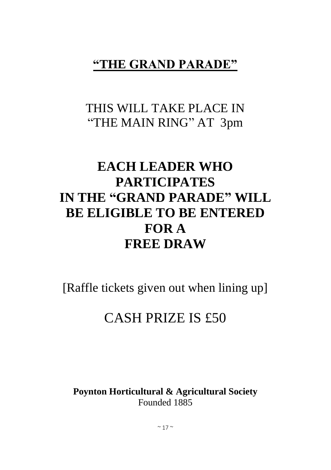# **"THE GRAND PARADE"**

# THIS WILL TAKE PLACE IN "THE MAIN RING" AT 3pm

# **EACH LEADER WHO PARTICIPATES IN THE "GRAND PARADE" WILL BE ELIGIBLE TO BE ENTERED FOR A FREE DRAW**

[Raffle tickets given out when lining up]

# CASH PRIZE IS £50

**Poynton Horticultural & Agricultural Society** Founded 1885